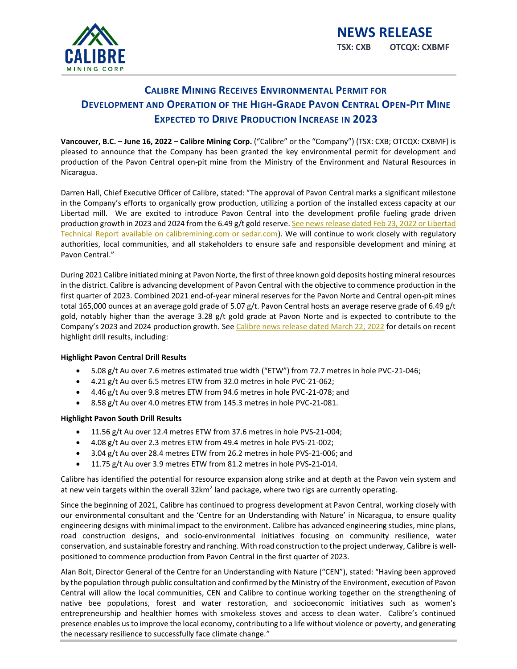

# **CALIBRE MINING RECEIVES ENVIRONMENTAL PERMIT FOR DEVELOPMENT AND OPERATION OF THE HIGH-GRADE PAVON CENTRAL OPEN-PIT MINE EXPECTED TO DRIVE PRODUCTION INCREASE IN 2023**

**Vancouver, B.C. – June 16, 2022 – Calibre Mining Corp.** ("Calibre" or the "Company") (TSX: CXB; OTCQX: CXBMF) is pleased to announce that the Company has been granted the key environmental permit for development and production of the Pavon Central open-pit mine from the Ministry of the Environment and Natural Resources in Nicaragua.

Darren Hall, Chief Executive Officer of Calibre, stated: "The approval of Pavon Central marks a significant milestone in the Company's efforts to organically grow production, utilizing a portion of the installed excess capacity at our Libertad mill. We are excited to introduce Pavon Central into the development profile fueling grade driven production growth in 2023 and 2024 from the 6.49 g/t gold reserve. See news release dated Feb 23, 2022 or Libertad [Technical Report available on calibremining.com or sedar.com\)](https://www.calibremining.com/news/calibre-increases-nicaraguan-mineral-reserves-to-i-4079/). We will continue to work closely with regulatory authorities, local communities, and all stakeholders to ensure safe and responsible development and mining at Pavon Central."

During 2021 Calibre initiated mining at Pavon Norte, the first of three known gold deposits hosting mineral resources in the district. Calibre is advancing development of Pavon Central with the objective to commence production in the first quarter of 2023. Combined 2021 end-of-year mineral reserves for the Pavon Norte and Central open-pit mines total 165,000 ounces at an average gold grade of 5.07 g/t. Pavon Central hosts an average reserve grade of 6.49 g/t gold, notably higher than the average 3.28 g/t gold grade at Pavon Norte and is expected to contribute to the Company's 2023 and 2024 production growth. See [Calibre news release dated March 22, 2022](https://www.calibremining.com/site/assets/files/7023/20220321_pavon_development_and_exploration_update_final.pdf) for details on recent highlight drill results, including:

# **Highlight Pavon Central Drill Results**

- 5.08 g/t Au over 7.6 metres estimated true width ("ETW") from 72.7 metres in hole PVC-21-046;
- 4.21 g/t Au over 6.5 metres ETW from 32.0 metres in hole PVC-21-062;
- 4.46 g/t Au over 9.8 metres ETW from 94.6 metres in hole PVC-21-078; and
- 8.58 g/t Au over 4.0 metres ETW from 145.3 metres in hole PVC-21-081.

# **Highlight Pavon South Drill Results**

- 11.56 g/t Au over 12.4 metres ETW from 37.6 metres in hole PVS-21-004;
- 4.08 g/t Au over 2.3 metres ETW from 49.4 metres in hole PVS-21-002;
- 3.04 g/t Au over 28.4 metres ETW from 26.2 metres in hole PVS-21-006; and
- 11.75 g/t Au over 3.9 metres ETW from 81.2 metres in hole PVS-21-014.

Calibre has identified the potential for resource expansion along strike and at depth at the Pavon vein system and at new vein targets within the overall 32km<sup>2</sup> land package, where two rigs are currently operating.

Since the beginning of 2021, Calibre has continued to progress development at Pavon Central, working closely with our environmental consultant and the 'Centre for an Understanding with Nature' in Nicaragua, to ensure quality engineering designs with minimal impact to the environment. Calibre has advanced engineering studies, mine plans, road construction designs, and socio-environmental initiatives focusing on community resilience, water conservation, and sustainable forestry and ranching. With road construction to the project underway, Calibre is wellpositioned to commence production from Pavon Central in the first quarter of 2023.

Alan Bolt, Director General of the Centre for an Understanding with Nature ("CEN"), stated: "Having been approved by the population through public consultation and confirmed by the Ministry of the Environment, execution of Pavon Central will allow the local communities, CEN and Calibre to continue working together on the strengthening of native bee populations, forest and water restoration, and socioeconomic initiatives such as women's entrepreneurship and healthier homes with smokeless stoves and access to clean water. Calibre's continued presence enables us to improve the local economy, contributing to a life without violence or poverty, and generating the necessary resilience to successfully face climate change."